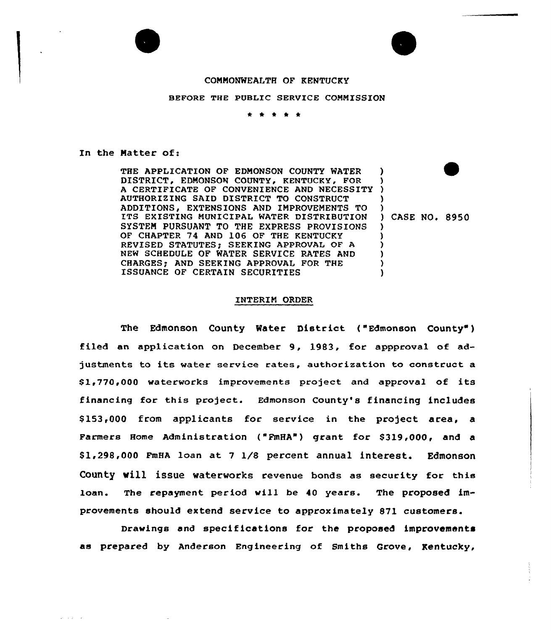## CONNONWEALTH OF KENTUCKY

## BEFORE THE PUBLIC SERVICE COMMISSION

\* \* \* \* \*

In the Natter of:

 $\omega = \omega / 2$  ,  $\omega = \omega$ 

THE APPLICATION OF EDNONSON COUNTY WATER DISTRICT. EDMONSON COUNTY. KENTUCKY, FOR <sup>A</sup> CERTIFICATE OF CONVENIENCE AND NECESSITY AUTHORIZING SAID DISTRICT TO CONSTRUCT ADDITIONS, EXTENSIONS AND IMPROVEMENTS TO ITS EXISTING NUNICIPAL WATER DISTRIBUTION SYSTEM PURSUANT TO THE EXPRESS PROVISIONS OF CHAPTER 74 AND 106 OF THE KENTUCKY REVISED STATUTES: SEEKING APPROVAL OF A NEW SCHEDULE OF WATER SERVICE RATES AND CHARGES; AND SEEKING APPROVAL FOR THE ISSUANCE OF CERTAIN SECURITIES ) ) ) ) ) ) CASE NO. 8950 ) ) ) ) ) )

## INTERIM ORDER

The Edmonson County Water District ("Edmonson County" ) filed an application on December 9, 1983, for appproval of adjustments to its water service rates, authorization to construct a S1,770,000 waterworks improvements project and approval of its financing for this project. Edmonson county's financing includes \$ 153,000 from applicants for service in the project area, a Farmers Home Administration ("FmHA") grant for S319,000, and a \$1,298,000 FmHA loan at 7 1/8 percent annual interest. Edmonson County will issue waterworks revenue bonds as security for this loan. The repayment period vill be 40 years. The proposed improvements should extend service to approximately 871 customers.

Drawings and specifications for the proposed improvements as prepared by Anderson Engineering of Smiths Grove, Kentucky,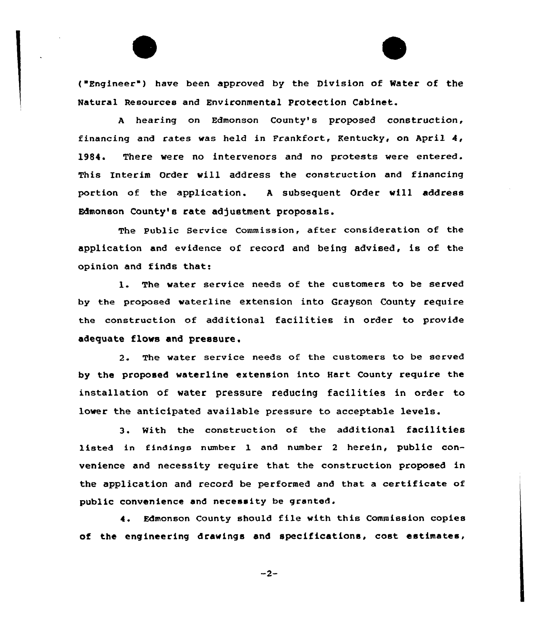{ Engineer ) have been approved by the Division of Water of the Natural Resources and Environmental Protection Cabinet.

<sup>A</sup> hearing on Edmonson County's proposed construction, financing and rates vas held in Frankfort, Kentucky, on April 4, 1984. There vere no intervenors and no protests were entered. This Interim Order vill address the construction and financing portion of the application. <sup>A</sup> subsequent Order vill address Edmonson County's rate adjustment proposals.

The Public Service Commission, after consideration of the application and evidence of record and being advised, is of the opinion and finds that:

1. The water service needs of the customers to be served by the proposed waterline extension into Grayson County require the construction of additional facilities in order to provide adequate flovs and pressure.

2. The water service needs of. the customers to be served by the proposed waterline extension into Hart County require the installation of water pressure reducing facilities in order to lower the anticipated available pressure to acceptable levels.

3. With the construction of the additional facilities listed in findings number 1 and number <sup>2</sup> herein, public convenience and necessity require that the construction proposed in the application and record be performed and that a certificate of public convenience and necessity be granted.

4. Edmonson County should file with this Commission copies of the engineering drawings and specifications, cost estimates,

 $-2-$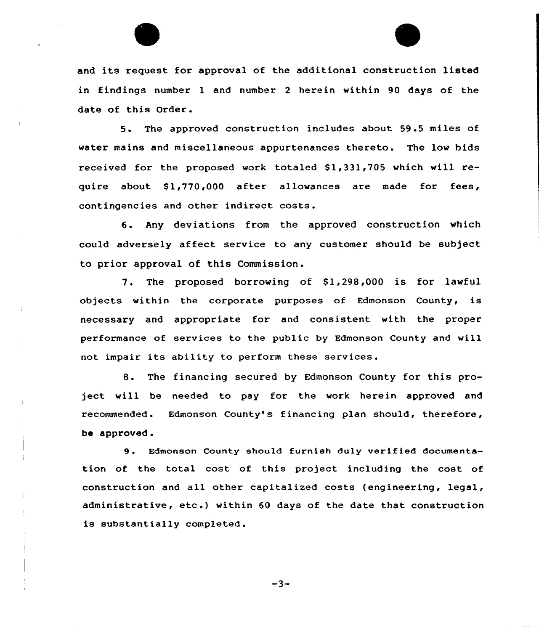

and its request for approval of the additional construction listed in findings number 1 and number <sup>2</sup> herein within 90 days of the date of this Order.

5. The approved construction includes about 59.5 miles of water mains and miscellaneous appurtenances thereto. The low bids received for the proposed work totaled  $$1,331,705$  which will require about  $$1,770,000$  after allowances are made for fees, contingencies and other indirect costs.

6. Any deviations from the approved construction which could adversely affect service to any customer should be subject to prior approval of this Commission.

7. The proposed borrowing of \$1,298,000 is for lawful objects within the corporate purposes of Edmonson County, is necessary and appropriate for and consistent with the proper performance of services to the public by Edmonson County and will not impair its ability to perform these services.

8. The financing secured by Edmonson County for this project will be needed to pay for the work herein approved and recommended. Edmonson County's financing plan should, therefore, be approved.

9. Edmonson County should furnish duly verified documentation of the total cost of this project including the cost of construction and all other capitalized costs (engineering, legal, administrative, etc .) within <sup>60</sup> days of the date that construction is substantially completed.

 $-3-$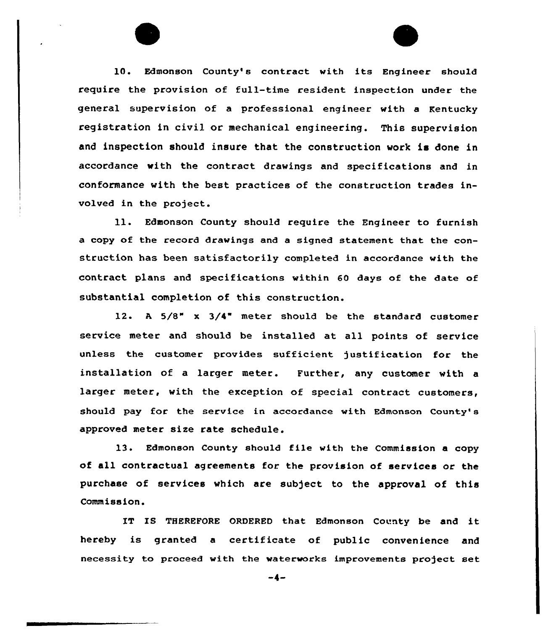10. Edmonson County's contract with its Engineer should require the provision of full-time resident inspection under the general supervision of a professional engineer with a Kentucky registration in civil or mechanical engineering. This supervision and inspection should insure that the construction work is done in accordance with the contract drawings and specifications and in conformance with the best practices of the construction trades involved in the project.

ll. Edmonson County should require the Engineer to furnish a copy of the record drawings and a signed statement that the construction has been satisfactorily completed in accordance with the contract plans and specifications within 60 days of the date of substantial completion of this construction.

12. <sup>A</sup> 5/8" x 3/4" meter should be the standard customer service meter and should be installed at all points of service unless the customer provides sufficient justification for the installation of a larger meter. Further, any customer with a larger meter, with the exception of special contract customers, should pay for the service in accordance with Edmonson County's approved meter size rate schedule.

13. Edmonson County should file with the Commission a copy of all contractual agreements for the provision of services or the purchase of services which are subject to the approval of this Commission.

IT IS THEREFORE ORDERED that Edmonson County be and it hereby is granted <sup>a</sup> certificate of public convenience and necessity to proceed with the waterworks improvements project set

 $-4-$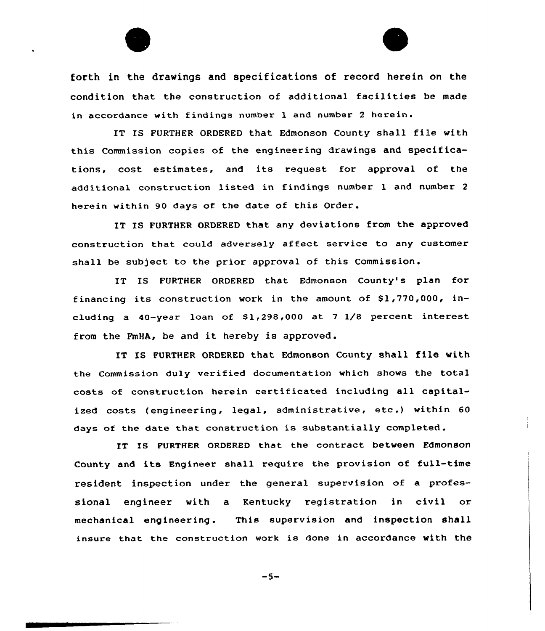

forth in the drawings and specifications of record herein on the condition that the construction of additional facilities be made in accordance with findings number <sup>1</sup> and number <sup>2</sup> herein.

IT IS FURTHER ORDERED that Edmonson County shall file with this Commission copies of the engineering drawings and specifications, cost estimates, and its request for approval of the additional construction listed in findings number 1 and number <sup>2</sup> herein within 90 days of the date of this Order.

IT IS FURTHER ORDERED that any deviations from the approved construction that could adversely affect service to any customer shall be subject to the prior approval of this Commission.

IT IS FURTHER ORDERED that Edmonson County's plan for financing its construction work in the amount of  $$1,770,000$ , including a 40-year loan of 81,298,000 at <sup>7</sup> 1/8 percent interest from the FmHA, be and it hereby is approved .

IT IS FURTHER ORDERED that Edmonson County shall file with the Commission duly verified documentation which shows the total costs of construction herein certificated including all capitalized costs (engineering, legal, administrative, etc.) within 60 days of the date that construction is substantially completed.

IT Is FURTHER oRDERED that the contract between Fdmonson County and its Engineer shall require the provision of full-time resident inspection under the general supervision of a professional engineer with a Kentucky registration in civil or mechanical engineering. This supervision and inspection shall insure that the construction work is done in accordance with the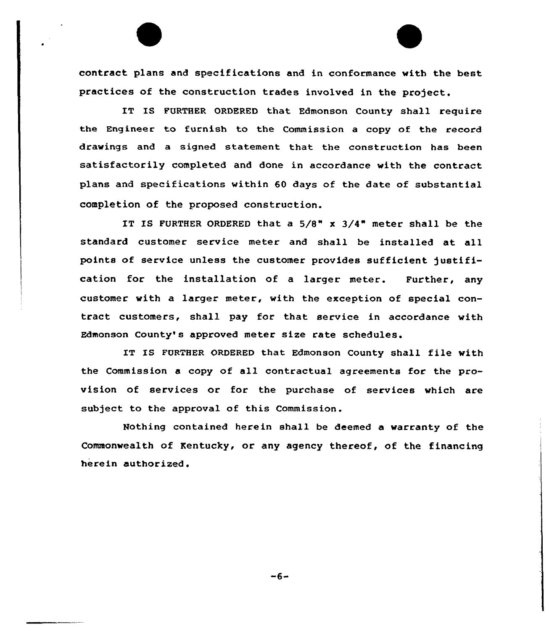contract plans and specifications and in conformance with the best practices of the construction trades involved in the project.

IT IS FURTHER ORDERED that Edmonson County shall require the Engineer to furnish to the Commission a copy of the record drawings and a signed statement that the construction has been satisfactorily completed and done in accordance with the contract plans and specifications within 60 days of the date of substantial completion of the proposed construction.

IT IS PURTHER ORDERED that a 5/8" x 3/4" meter shall be the standard customer service meter and shall be installed at all points of service unless the customer provides sufficient justification for the installation of a larger meter. Purther, any customer with a larger meter, with the exception of special contract customers, shall pay for that service in accordance with Edmonson County's approved meter size rate schedules.

IT Is FURTHER oRDERED that Edmonson county shall file with the Commission a copy of all contractual agreements for the provision of services or for the purchase of services which are subject to the approval of this Commission.

Nothing contained herein shall be deemed a warranty of the Commonwealth of Kentucky, or any agency thereof, of the financing herein authorized.

 $-6-$